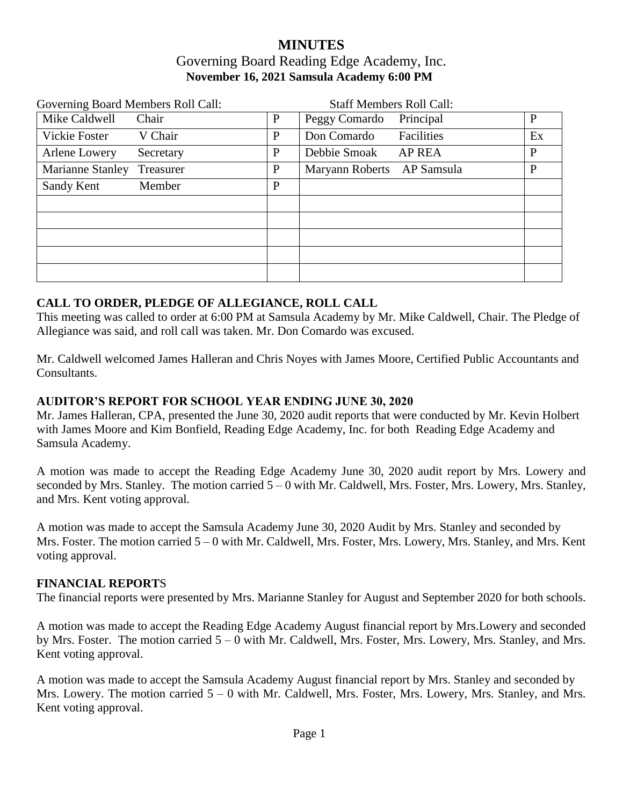# **MINUTES** Governing Board Reading Edge Academy, Inc. **November 16, 2021 Samsula Academy 6:00 PM**

| Governing Board Members Roll Call: |           |   | <b>Staff Members Roll Call:</b> |               |              |
|------------------------------------|-----------|---|---------------------------------|---------------|--------------|
| Mike Caldwell                      | Chair     | P | Peggy Comardo                   | Principal     | $\mathbf{P}$ |
| Vickie Foster                      | V Chair   | P | Don Comardo                     | Facilities    | Ex           |
| Arlene Lowery                      | Secretary | P | Debbie Smoak                    | <b>AP REA</b> | P            |
| Marianne Stanley                   | Treasurer | P | Maryann Roberts AP Samsula      |               | P            |
| Sandy Kent                         | Member    | P |                                 |               |              |
|                                    |           |   |                                 |               |              |
|                                    |           |   |                                 |               |              |
|                                    |           |   |                                 |               |              |
|                                    |           |   |                                 |               |              |
|                                    |           |   |                                 |               |              |

#### **CALL TO ORDER, PLEDGE OF ALLEGIANCE, ROLL CALL**

This meeting was called to order at 6:00 PM at Samsula Academy by Mr. Mike Caldwell, Chair. The Pledge of Allegiance was said, and roll call was taken. Mr. Don Comardo was excused.

Mr. Caldwell welcomed James Halleran and Chris Noyes with James Moore, Certified Public Accountants and Consultants.

#### **AUDITOR'S REPORT FOR SCHOOL YEAR ENDING JUNE 30, 2020**

Mr. James Halleran, CPA, presented the June 30, 2020 audit reports that were conducted by Mr. Kevin Holbert with James Moore and Kim Bonfield, Reading Edge Academy, Inc. for both Reading Edge Academy and Samsula Academy.

A motion was made to accept the Reading Edge Academy June 30, 2020 audit report by Mrs. Lowery and seconded by Mrs. Stanley. The motion carried 5 – 0 with Mr. Caldwell, Mrs. Foster, Mrs. Lowery, Mrs. Stanley, and Mrs. Kent voting approval.

A motion was made to accept the Samsula Academy June 30, 2020 Audit by Mrs. Stanley and seconded by Mrs. Foster. The motion carried 5 – 0 with Mr. Caldwell, Mrs. Foster, Mrs. Lowery, Mrs. Stanley, and Mrs. Kent voting approval.

#### **FINANCIAL REPORT**S

The financial reports were presented by Mrs. Marianne Stanley for August and September 2020 for both schools.

A motion was made to accept the Reading Edge Academy August financial report by Mrs.Lowery and seconded by Mrs. Foster. The motion carried 5 – 0 with Mr. Caldwell, Mrs. Foster, Mrs. Lowery, Mrs. Stanley, and Mrs. Kent voting approval.

A motion was made to accept the Samsula Academy August financial report by Mrs. Stanley and seconded by Mrs. Lowery. The motion carried  $5 - 0$  with Mr. Caldwell, Mrs. Foster, Mrs. Lowery, Mrs. Stanley, and Mrs. Kent voting approval.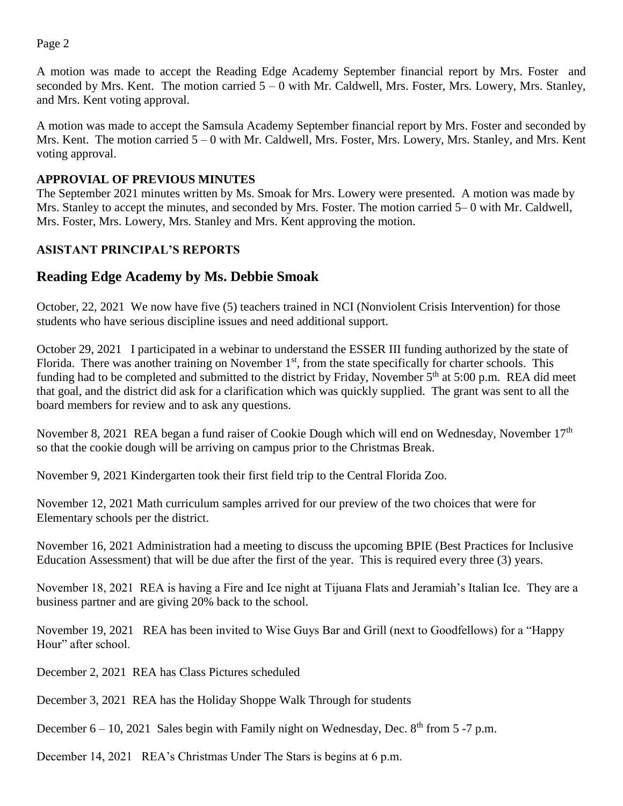Page 2

A motion was made to accept the Reading Edge Academy September financial report by Mrs. Foster and seconded by Mrs. Kent. The motion carried  $5 - 0$  with Mr. Caldwell, Mrs. Foster, Mrs. Lowery, Mrs. Stanley, and Mrs. Kent voting approval.

A motion was made to accept the Samsula Academy September financial report by Mrs. Foster and seconded by Mrs. Kent. The motion carried 5 – 0 with Mr. Caldwell, Mrs. Foster, Mrs. Lowery, Mrs. Stanley, and Mrs. Kent voting approval.

#### **APPROVIAL OF PREVIOUS MINUTES**

The September 2021 minutes written by Ms. Smoak for Mrs. Lowery were presented. A motion was made by Mrs. Stanley to accept the minutes, and seconded by Mrs. Foster. The motion carried 5– 0 with Mr. Caldwell, Mrs. Foster, Mrs. Lowery, Mrs. Stanley and Mrs. Kent approving the motion.

# **ASISTANT PRINCIPAL'S REPORTS**

# **Reading Edge Academy by Ms. Debbie Smoak**

October, 22, 2021 We now have five (5) teachers trained in NCI (Nonviolent Crisis Intervention) for those students who have serious discipline issues and need additional support.

October 29, 2021 I participated in a webinar to understand the ESSER III funding authorized by the state of Florida. There was another training on November  $1<sup>st</sup>$ , from the state specifically for charter schools. This funding had to be completed and submitted to the district by Friday, November 5<sup>th</sup> at 5:00 p.m. REA did meet that goal, and the district did ask for a clarification which was quickly supplied. The grant was sent to all the board members for review and to ask any questions.

November 8, 2021 REA began a fund raiser of Cookie Dough which will end on Wednesday, November 17<sup>th</sup> so that the cookie dough will be arriving on campus prior to the Christmas Break.

November 9, 2021 Kindergarten took their first field trip to the Central Florida Zoo.

November 12, 2021 Math curriculum samples arrived for our preview of the two choices that were for Elementary schools per the district.

November 16, 2021 Administration had a meeting to discuss the upcoming BPIE (Best Practices for Inclusive Education Assessment) that will be due after the first of the year. This is required every three (3) years.

November 18, 2021 REA is having a Fire and Ice night at Tijuana Flats and Jeramiah's Italian Ice. They are a business partner and are giving 20% back to the school.

November 19, 2021 REA has been invited to Wise Guys Bar and Grill (next to Goodfellows) for a "Happy Hour" after school.

December 2, 2021 REA has Class Pictures scheduled

December 3, 2021 REA has the Holiday Shoppe Walk Through for students

December  $6 - 10$ , 2021 Sales begin with Family night on Wednesday, Dec.  $8<sup>th</sup>$  from 5 -7 p.m.

December 14, 2021 REA's Christmas Under The Stars is begins at 6 p.m.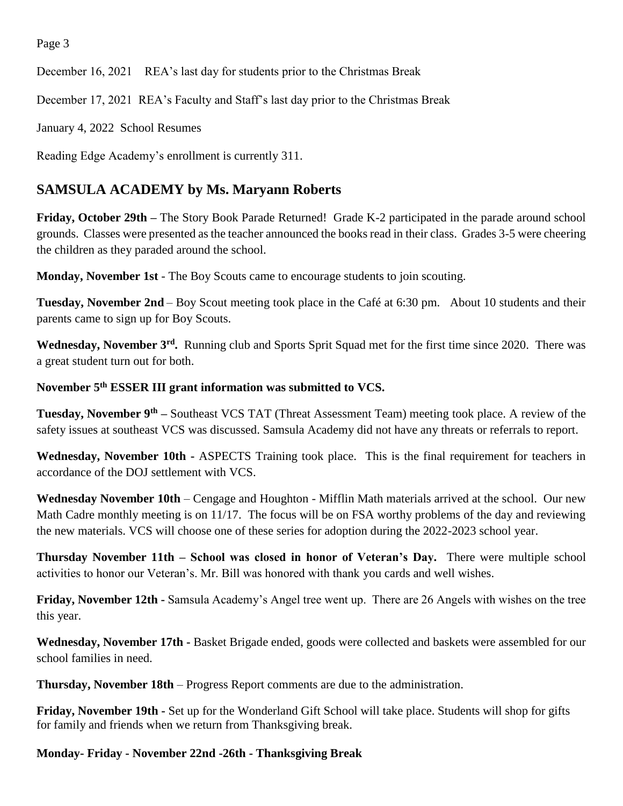Page 3

December 16, 2021 REA's last day for students prior to the Christmas Break

December 17, 2021 REA's Faculty and Staff's last day prior to the Christmas Break

January 4, 2022 School Resumes

Reading Edge Academy's enrollment is currently 311.

# **SAMSULA ACADEMY by Ms. Maryann Roberts**

**Friday, October 29th –** The Story Book Parade Returned! Grade K-2 participated in the parade around school grounds. Classes were presented as the teacher announced the books read in their class. Grades 3-5 were cheering the children as they paraded around the school.

**Monday, November 1st** - The Boy Scouts came to encourage students to join scouting.

**Tuesday, November 2nd** – Boy Scout meeting took place in the Café at 6:30 pm. About 10 students and their parents came to sign up for Boy Scouts.

Wednesday, November 3<sup>rd</sup>. Running club and Sports Sprit Squad met for the first time since 2020. There was a great student turn out for both.

# **November 5th ESSER III grant information was submitted to VCS.**

**Tuesday, November 9th –** Southeast VCS TAT (Threat Assessment Team) meeting took place. A review of the safety issues at southeast VCS was discussed. Samsula Academy did not have any threats or referrals to report.

**Wednesday, November 10th -** ASPECTS Training took place. This is the final requirement for teachers in accordance of the DOJ settlement with VCS.

Wednesday November 10th – Cengage and Houghton - Mifflin Math materials arrived at the school. Our new Math Cadre monthly meeting is on 11/17. The focus will be on FSA worthy problems of the day and reviewing the new materials. VCS will choose one of these series for adoption during the 2022-2023 school year.

**Thursday November 11th – School was closed in honor of Veteran's Day.** There were multiple school activities to honor our Veteran's. Mr. Bill was honored with thank you cards and well wishes.

**Friday, November 12th -** Samsula Academy's Angel tree went up. There are 26 Angels with wishes on the tree this year.

**Wednesday, November 17th -** Basket Brigade ended, goods were collected and baskets were assembled for our school families in need.

**Thursday, November 18th** – Progress Report comments are due to the administration.

**Friday, November 19th -** Set up for the Wonderland Gift School will take place. Students will shop for gifts for family and friends when we return from Thanksgiving break.

**Monday- Friday - November 22nd -26th - Thanksgiving Break**